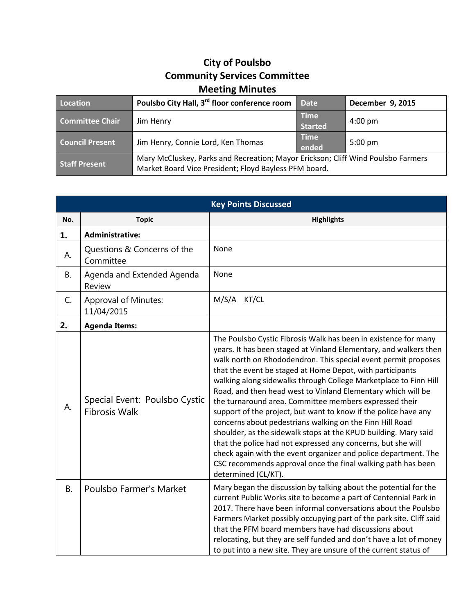## **City of Poulsbo Community Services Committee Meeting Minutes**

| Location               | Poulsbo City Hall, 3 <sup>rd</sup> floor conference room                                                                                  | <b>Date</b>                   | December 9, 2015  |
|------------------------|-------------------------------------------------------------------------------------------------------------------------------------------|-------------------------------|-------------------|
| <b>Committee Chair</b> | Jim Henry                                                                                                                                 | <b>Time</b><br><b>Started</b> | $4:00 \text{ pm}$ |
| <b>Council Present</b> | Jim Henry, Connie Lord, Ken Thomas                                                                                                        | <b>Time</b><br>ended          | $5:00 \text{ pm}$ |
| <b>Staff Present</b>   | Mary McCluskey, Parks and Recreation; Mayor Erickson; Cliff Wind Poulsbo Farmers<br>Market Board Vice President; Floyd Bayless PFM board. |                               |                   |

| <b>Key Points Discussed</b> |                                                       |                                                                                                                                                                                                                                                                                                                                                                                                                                                                                                                                                                                                                                                                                                                                                                                                                                                                                               |  |  |
|-----------------------------|-------------------------------------------------------|-----------------------------------------------------------------------------------------------------------------------------------------------------------------------------------------------------------------------------------------------------------------------------------------------------------------------------------------------------------------------------------------------------------------------------------------------------------------------------------------------------------------------------------------------------------------------------------------------------------------------------------------------------------------------------------------------------------------------------------------------------------------------------------------------------------------------------------------------------------------------------------------------|--|--|
| No.                         | <b>Topic</b>                                          | <b>Highlights</b>                                                                                                                                                                                                                                                                                                                                                                                                                                                                                                                                                                                                                                                                                                                                                                                                                                                                             |  |  |
| 1.                          | <b>Administrative:</b>                                |                                                                                                                                                                                                                                                                                                                                                                                                                                                                                                                                                                                                                                                                                                                                                                                                                                                                                               |  |  |
| А.                          | Questions & Concerns of the<br>Committee              | None                                                                                                                                                                                                                                                                                                                                                                                                                                                                                                                                                                                                                                                                                                                                                                                                                                                                                          |  |  |
| <b>B.</b>                   | Agenda and Extended Agenda<br>Review                  | None                                                                                                                                                                                                                                                                                                                                                                                                                                                                                                                                                                                                                                                                                                                                                                                                                                                                                          |  |  |
| C.                          | <b>Approval of Minutes:</b><br>11/04/2015             | M/S/A KT/CL                                                                                                                                                                                                                                                                                                                                                                                                                                                                                                                                                                                                                                                                                                                                                                                                                                                                                   |  |  |
| 2.                          | <b>Agenda Items:</b>                                  |                                                                                                                                                                                                                                                                                                                                                                                                                                                                                                                                                                                                                                                                                                                                                                                                                                                                                               |  |  |
| А.                          | Special Event: Poulsbo Cystic<br><b>Fibrosis Walk</b> | The Poulsbo Cystic Fibrosis Walk has been in existence for many<br>years. It has been staged at Vinland Elementary, and walkers then<br>walk north on Rhododendron. This special event permit proposes<br>that the event be staged at Home Depot, with participants<br>walking along sidewalks through College Marketplace to Finn Hill<br>Road, and then head west to Vinland Elementary which will be<br>the turnaround area. Committee members expressed their<br>support of the project, but want to know if the police have any<br>concerns about pedestrians walking on the Finn Hill Road<br>shoulder, as the sidewalk stops at the KPUD building. Mary said<br>that the police had not expressed any concerns, but she will<br>check again with the event organizer and police department. The<br>CSC recommends approval once the final walking path has been<br>determined (CL/KT). |  |  |
| <b>B.</b>                   | Poulsbo Farmer's Market                               | Mary began the discussion by talking about the potential for the<br>current Public Works site to become a part of Centennial Park in<br>2017. There have been informal conversations about the Poulsbo<br>Farmers Market possibly occupying part of the park site. Cliff said<br>that the PFM board members have had discussions about<br>relocating, but they are self funded and don't have a lot of money<br>to put into a new site. They are unsure of the current status of                                                                                                                                                                                                                                                                                                                                                                                                              |  |  |